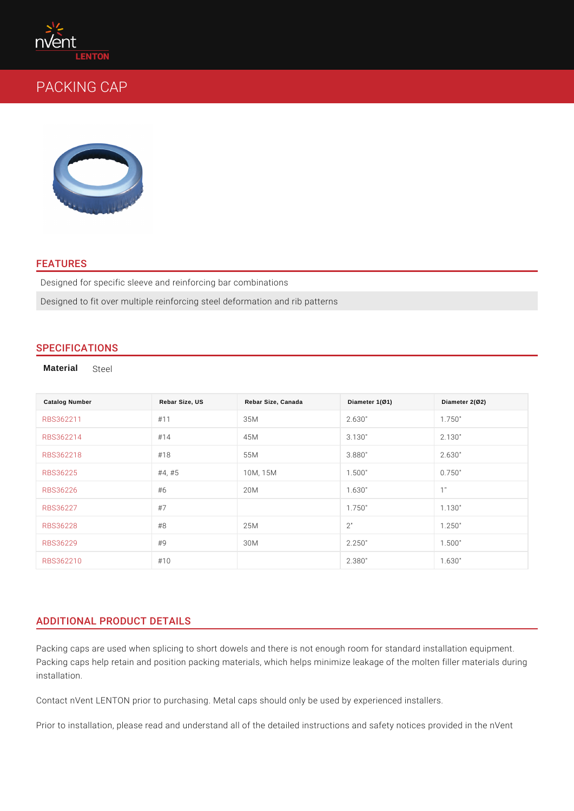# FEATURES

Designed for specific sleeve and reinforcing bar combinations Designed to fit over multiple reinforcing steel deformation and rib patterns

# SPECIFICATIONS

Material Steel

| Catalog Number | Rebar Size, US | Rebar Size, Canada | Diameter 1(Ø1) | Diameter 2(Ø2) |
|----------------|----------------|--------------------|----------------|----------------|
| RBS362211      | #11            | 35M                | 2.630"         | 1.750"         |
| RBS362214      | # 14           | 4 5 M              | 3.130"         | 2.130"         |
| RBS362218      | # 1 8          | 55M                | 3.880"         | 2.630"         |
| RBS36225       | #4, #5         | 10M, 15M           | 1.500"         | 0.750"         |
| RBS36226       | #6             | 2 0 M              | 1.630"         | 1"             |
| RBS36227       | #7             |                    | 1.750"         | 1.130"         |
| RBS36228       | #8             | 25M                | 2"             | 1.250"         |
| RBS36229       | #9             | 3 0 M              | 2.250"         | 1.500"         |
| RBS362210      | #10            |                    | 2.380"         | 1.630"         |

# ADDITIONAL PRODUCT DETAILS

Packing caps are used when splicing to short dowels and there is not enough room Packing caps help retain and position packing materials, which helps minimize le installation.

Contact nVent LENTON prior to purchasing. Metal caps should only be used by e

Prior to installation, please read and understand all of the detailed instructions